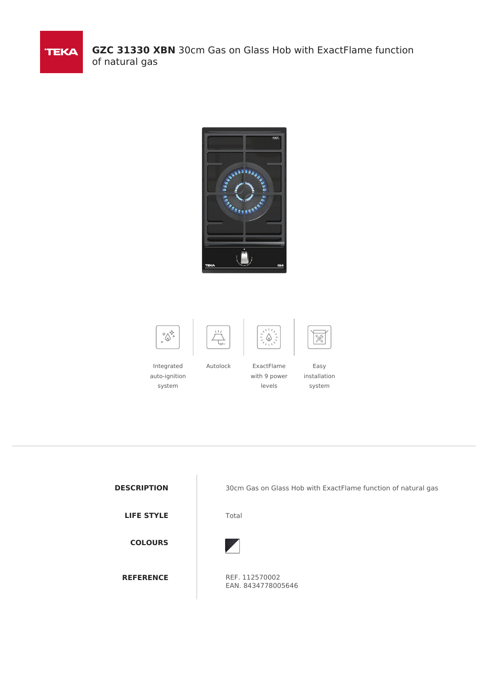

**GZC 31330 XBN** 30cm Gas on Glass Hob with ExactFlame function of natural gas















Easy

Integrated auto-ignition system

Autolock ExactFlame with 9 power levels

installation system



**DESCRIPTION** 30cm Gas on Glass Hob with ExactFlame function of natural gas



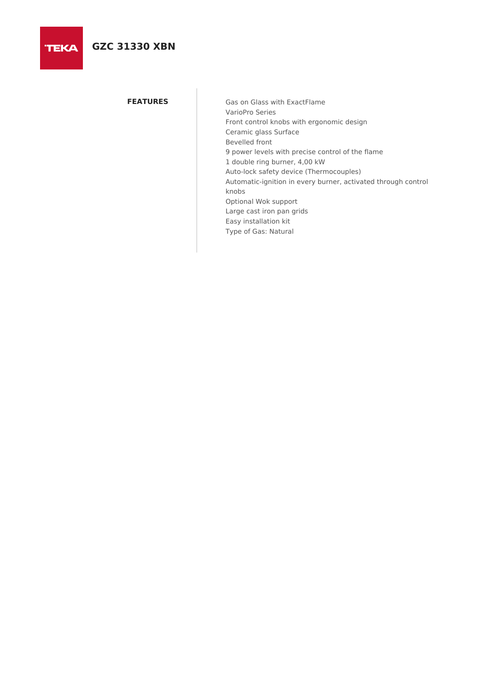**TEKA** 

**FEATURES** Gas on Glass with ExactFlame VarioPro Series Front control knobs with ergonomic design Ceramic glass Surface Bevelled front 9 power levels with precise control of the flame 1 double ring burner, 4,00 kW Auto-lock safety device (Thermocouples) Automatic-ignition in every burner, activated through control knobs Optional Wok support Large cast iron pan grids Easy installation kit Type of Gas: Natural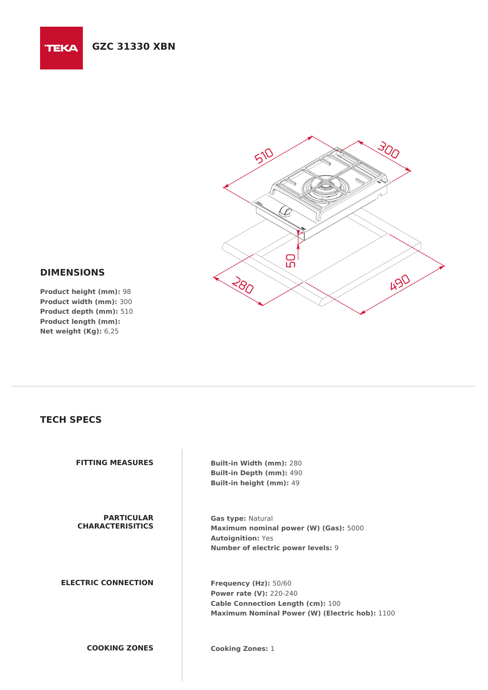

## **DIMENSIONS**

**TEKA** 

**Product height (mm):** 98 **Product width (mm):** 300 **Product depth (mm):** 510 **Product length (mm): Net weight (Kg):** 6,25

## **TECH SPECS**

**FITTING MEASURES Built-in Width (mm):** 280 **Built-in Depth (mm):** 490 **Built-in height (mm):** 49 **PARTICULAR CHARACTERISITICS Gas type:** Natural **Maximum nominal power (W) (Gas):** 5000 **Autoignition:** Yes **Number of electric power levels:** 9 **ELECTRIC CONNECTION Frequency (Hz):** 50/60 **Power rate (V):** 220-240 **Cable Connection Length (cm):** 100 **Maximum Nominal Power (W) (Electric hob):** 1100 **COOKING ZONES Cooking Zones:** 1